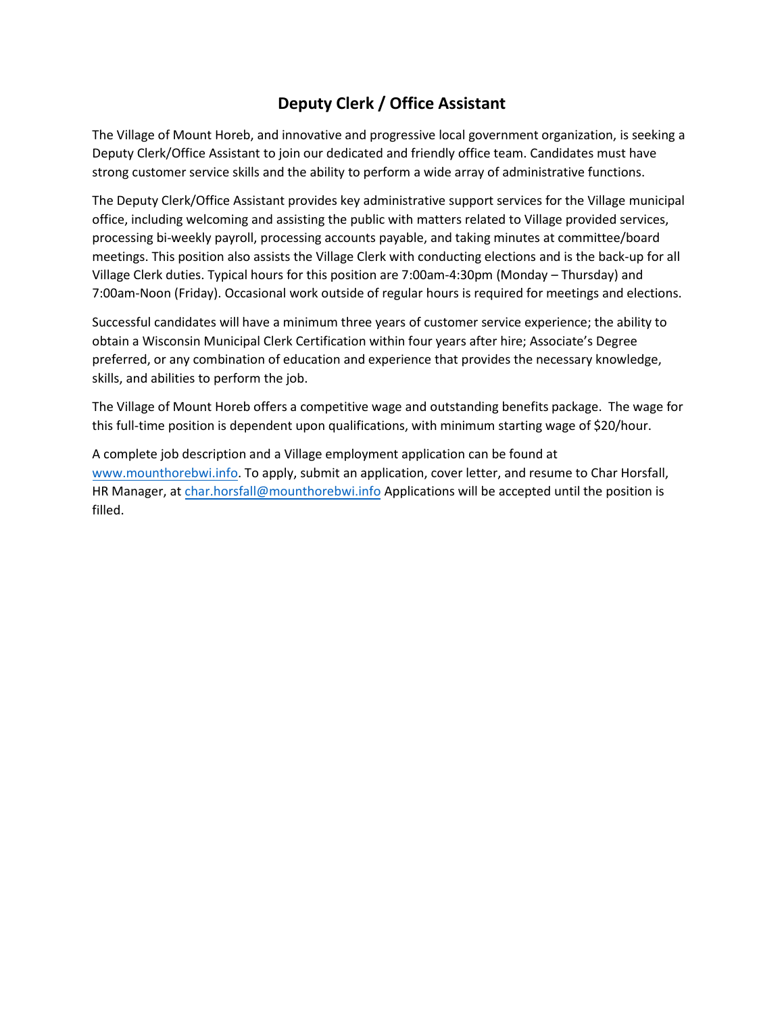# **Deputy Clerk / Office Assistant**

The Village of Mount Horeb, and innovative and progressive local government organization, is seeking a Deputy Clerk/Office Assistant to join our dedicated and friendly office team. Candidates must have strong customer service skills and the ability to perform a wide array of administrative functions.

The Deputy Clerk/Office Assistant provides key administrative support services for the Village municipal office, including welcoming and assisting the public with matters related to Village provided services, processing bi-weekly payroll, processing accounts payable, and taking minutes at committee/board meetings. This position also assists the Village Clerk with conducting elections and is the back-up for all Village Clerk duties. Typical hours for this position are 7:00am-4:30pm (Monday – Thursday) and 7:00am-Noon (Friday). Occasional work outside of regular hours is required for meetings and elections.

Successful candidates will have a minimum three years of customer service experience; the ability to obtain a Wisconsin Municipal Clerk Certification within four years after hire; Associate's Degree preferred, or any combination of education and experience that provides the necessary knowledge, skills, and abilities to perform the job.

The Village of Mount Horeb offers a competitive wage and outstanding benefits package. The wage for this full-time position is dependent upon qualifications, with minimum starting wage of \$20/hour.

A complete job description and a Village employment application can be found at [www.mounthorebwi.info.](http://www.mounthorebwi.info/) To apply, submit an application, cover letter, and resume to Char Horsfall, HR Manager, at [char.horsfall@mounthorebwi.info](mailto:char.horsfall@mounthorebwi.info) Applications will be accepted until the position is filled.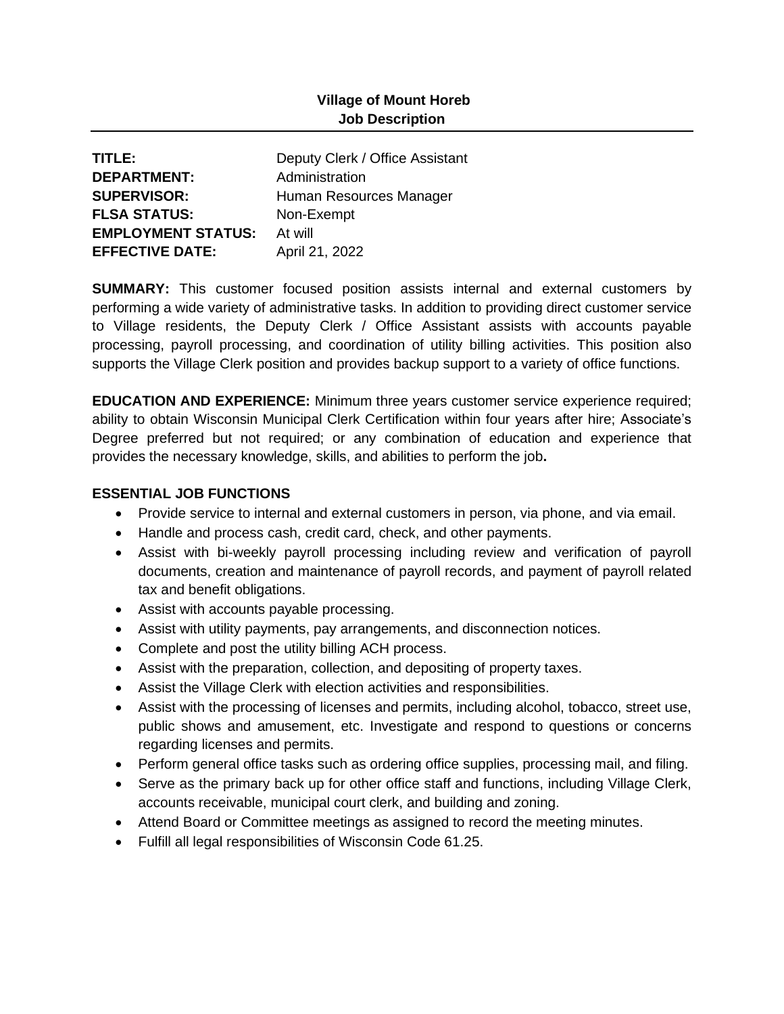## **Village of Mount Horeb Job Description**

| TITLE:                    | Deputy Clerk / Office Assistant |
|---------------------------|---------------------------------|
| <b>DEPARTMENT:</b>        | Administration                  |
| <b>SUPERVISOR:</b>        | Human Resources Manager         |
| <b>FLSA STATUS:</b>       | Non-Exempt                      |
| <b>EMPLOYMENT STATUS:</b> | At will                         |
| <b>EFFECTIVE DATE:</b>    | April 21, 2022                  |

**SUMMARY:** This customer focused position assists internal and external customers by performing a wide variety of administrative tasks. In addition to providing direct customer service to Village residents, the Deputy Clerk / Office Assistant assists with accounts payable processing, payroll processing, and coordination of utility billing activities. This position also supports the Village Clerk position and provides backup support to a variety of office functions.

**EDUCATION AND EXPERIENCE:** Minimum three years customer service experience required; ability to obtain Wisconsin Municipal Clerk Certification within four years after hire; Associate's Degree preferred but not required; or any combination of education and experience that provides the necessary knowledge, skills, and abilities to perform the job**.**

## **ESSENTIAL JOB FUNCTIONS**

- Provide service to internal and external customers in person, via phone, and via email.
- Handle and process cash, credit card, check, and other payments.
- Assist with bi-weekly payroll processing including review and verification of payroll documents, creation and maintenance of payroll records, and payment of payroll related tax and benefit obligations.
- Assist with accounts payable processing.
- Assist with utility payments, pay arrangements, and disconnection notices.
- Complete and post the utility billing ACH process.
- Assist with the preparation, collection, and depositing of property taxes.
- Assist the Village Clerk with election activities and responsibilities.
- Assist with the processing of licenses and permits, including alcohol, tobacco, street use, public shows and amusement, etc. Investigate and respond to questions or concerns regarding licenses and permits.
- Perform general office tasks such as ordering office supplies, processing mail, and filing.
- Serve as the primary back up for other office staff and functions, including Village Clerk, accounts receivable, municipal court clerk, and building and zoning.
- Attend Board or Committee meetings as assigned to record the meeting minutes.
- Fulfill all legal responsibilities of Wisconsin Code 61.25.